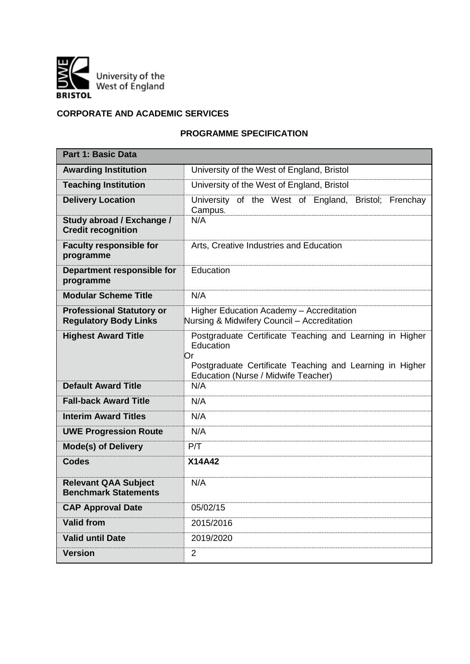

# **CORPORATE AND ACADEMIC SERVICES**

## **PROGRAMME SPECIFICATION**

| <b>Part 1: Basic Data</b>                                        |                                                                                                                                                                                |  |  |  |  |  |  |  |  |
|------------------------------------------------------------------|--------------------------------------------------------------------------------------------------------------------------------------------------------------------------------|--|--|--|--|--|--|--|--|
| <b>Awarding Institution</b>                                      | University of the West of England, Bristol                                                                                                                                     |  |  |  |  |  |  |  |  |
| <b>Teaching Institution</b>                                      | University of the West of England, Bristol                                                                                                                                     |  |  |  |  |  |  |  |  |
| <b>Delivery Location</b>                                         | University of the West of England, Bristol; Frenchay<br>Campus.                                                                                                                |  |  |  |  |  |  |  |  |
| Study abroad / Exchange /<br><b>Credit recognition</b>           | N/A                                                                                                                                                                            |  |  |  |  |  |  |  |  |
| <b>Faculty responsible for</b><br>programme                      | Arts, Creative Industries and Education                                                                                                                                        |  |  |  |  |  |  |  |  |
| Department responsible for<br>programme                          | Education                                                                                                                                                                      |  |  |  |  |  |  |  |  |
| <b>Modular Scheme Title</b>                                      | N/A                                                                                                                                                                            |  |  |  |  |  |  |  |  |
| <b>Professional Statutory or</b><br><b>Regulatory Body Links</b> | Higher Education Academy - Accreditation<br>Nursing & Midwifery Council - Accreditation                                                                                        |  |  |  |  |  |  |  |  |
| <b>Highest Award Title</b>                                       | Postgraduate Certificate Teaching and Learning in Higher<br>Education<br>Or<br>Postgraduate Certificate Teaching and Learning in Higher<br>Education (Nurse / Midwife Teacher) |  |  |  |  |  |  |  |  |
| <b>Default Award Title</b>                                       | N/A                                                                                                                                                                            |  |  |  |  |  |  |  |  |
| <b>Fall-back Award Title</b>                                     | N/A                                                                                                                                                                            |  |  |  |  |  |  |  |  |
| <b>Interim Award Titles</b>                                      | N/A                                                                                                                                                                            |  |  |  |  |  |  |  |  |
| <b>UWE Progression Route</b>                                     | N/A                                                                                                                                                                            |  |  |  |  |  |  |  |  |
| <b>Mode(s) of Delivery</b>                                       | P/T                                                                                                                                                                            |  |  |  |  |  |  |  |  |
| <b>Codes</b>                                                     | X14A42                                                                                                                                                                         |  |  |  |  |  |  |  |  |
| <b>Relevant QAA Subject</b><br><b>Benchmark Statements</b>       | N/A                                                                                                                                                                            |  |  |  |  |  |  |  |  |
| <b>CAP Approval Date</b>                                         | 05/02/15                                                                                                                                                                       |  |  |  |  |  |  |  |  |
| <b>Valid from</b>                                                | 2015/2016                                                                                                                                                                      |  |  |  |  |  |  |  |  |
| <b>Valid until Date</b>                                          | 2019/2020                                                                                                                                                                      |  |  |  |  |  |  |  |  |
| <b>Version</b>                                                   | $\overline{2}$                                                                                                                                                                 |  |  |  |  |  |  |  |  |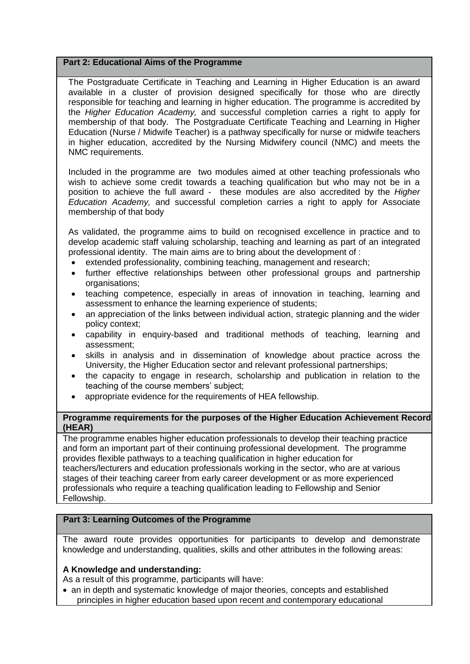## **Part 2: Educational Aims of the Programme**

The Postgraduate Certificate in Teaching and Learning in Higher Education is an award available in a cluster of provision designed specifically for those who are directly responsible for teaching and learning in higher education. The programme is accredited by the *Higher Education Academy,* and successful completion carries a right to apply for membership of that body. The Postgraduate Certificate Teaching and Learning in Higher Education (Nurse / Midwife Teacher) is a pathway specifically for nurse or midwife teachers in higher education, accredited by the Nursing Midwifery council (NMC) and meets the NMC requirements.

Included in the programme are two modules aimed at other teaching professionals who wish to achieve some credit towards a teaching qualification but who may not be in a position to achieve the full award - these modules are also accredited by the *Higher Education Academy,* and successful completion carries a right to apply for Associate membership of that body

As validated, the programme aims to build on recognised excellence in practice and to develop academic staff valuing scholarship, teaching and learning as part of an integrated professional identity. The main aims are to bring about the development of :

- extended professionality, combining teaching, management and research;
- further effective relationships between other professional groups and partnership organisations;
- teaching competence, especially in areas of innovation in teaching, learning and assessment to enhance the learning experience of students;
- an appreciation of the links between individual action, strategic planning and the wider policy context;
- capability in enquiry-based and traditional methods of teaching, learning and assessment;
- skills in analysis and in dissemination of knowledge about practice across the University, the Higher Education sector and relevant professional partnerships;
- the capacity to engage in research, scholarship and publication in relation to the teaching of the course members' subject;
- appropriate evidence for the requirements of HEA fellowship.

#### **Programme requirements for the purposes of the Higher Education Achievement Record (HEAR)**

The programme enables higher education professionals to develop their teaching practice and form an important part of their continuing professional development. The programme provides flexible pathways to a teaching qualification in higher education for teachers/lecturers and education professionals working in the sector, who are at various stages of their teaching career from early career development or as more experienced professionals who require a teaching qualification leading to Fellowship and Senior Fellowship.

## **Part 3: Learning Outcomes of the Programme**

The award route provides opportunities for participants to develop and demonstrate knowledge and understanding, qualities, skills and other attributes in the following areas:

## **A Knowledge and understanding:**

As a result of this programme, participants will have:

• an in depth and systematic knowledge of major theories, concepts and established principles in higher education based upon recent and contemporary educational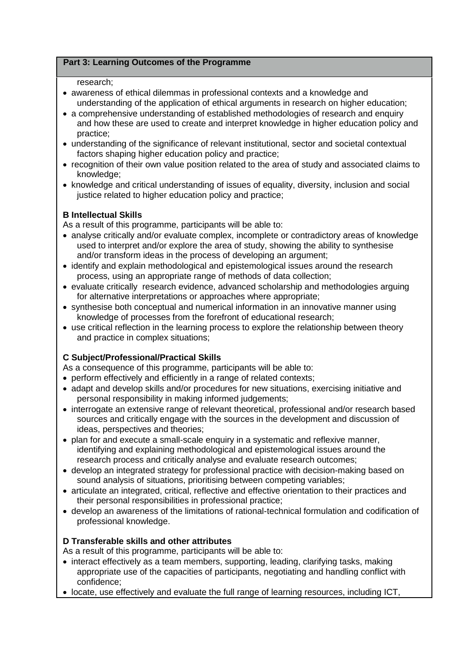## **Part 3: Learning Outcomes of the Programme**

## research;

- awareness of ethical dilemmas in professional contexts and a knowledge and understanding of the application of ethical arguments in research on higher education;
- a comprehensive understanding of established methodologies of research and enquiry and how these are used to create and interpret knowledge in higher education policy and practice;
- understanding of the significance of relevant institutional, sector and societal contextual factors shaping higher education policy and practice;
- recognition of their own value position related to the area of study and associated claims to knowledge;
- knowledge and critical understanding of issues of equality, diversity, inclusion and social justice related to higher education policy and practice;

## **B Intellectual Skills**

As a result of this programme, participants will be able to:

- analyse critically and/or evaluate complex, incomplete or contradictory areas of knowledge used to interpret and/or explore the area of study, showing the ability to synthesise and/or transform ideas in the process of developing an argument;
- identify and explain methodological and epistemological issues around the research process, using an appropriate range of methods of data collection;
- evaluate critically research evidence, advanced scholarship and methodologies arguing for alternative interpretations or approaches where appropriate;
- synthesise both conceptual and numerical information in an innovative manner using knowledge of processes from the forefront of educational research;
- use critical reflection in the learning process to explore the relationship between theory and practice in complex situations;

## **C Subject/Professional/Practical Skills**

As a consequence of this programme, participants will be able to:

- perform effectively and efficiently in a range of related contexts;
- adapt and develop skills and/or procedures for new situations, exercising initiative and personal responsibility in making informed judgements;
- interrogate an extensive range of relevant theoretical, professional and/or research based sources and critically engage with the sources in the development and discussion of ideas, perspectives and theories;
- plan for and execute a small-scale enquiry in a systematic and reflexive manner, identifying and explaining methodological and epistemological issues around the research process and critically analyse and evaluate research outcomes;
- develop an integrated strategy for professional practice with decision-making based on sound analysis of situations, prioritising between competing variables;
- articulate an integrated, critical, reflective and effective orientation to their practices and their personal responsibilities in professional practice;
- develop an awareness of the limitations of rational-technical formulation and codification of professional knowledge.

## **D Transferable skills and other attributes**

As a result of this programme, participants will be able to:

- interact effectively as a team members, supporting, leading, clarifying tasks, making appropriate use of the capacities of participants, negotiating and handling conflict with confidence;
- locate, use effectively and evaluate the full range of learning resources, including ICT,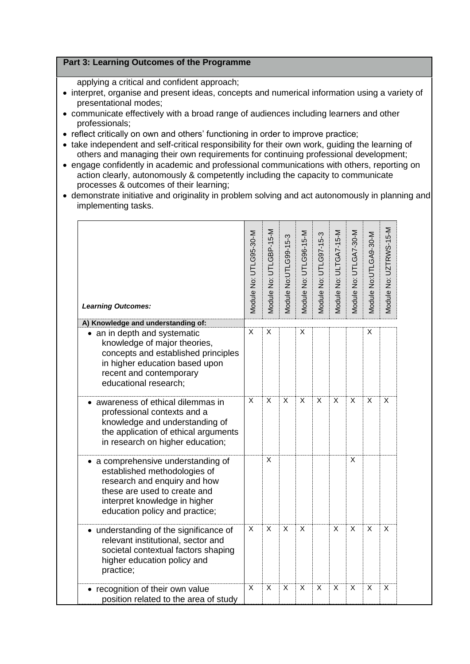## **Part 3: Learning Outcomes of the Programme**

applying a critical and confident approach;

- interpret, organise and present ideas, concepts and numerical information using a variety of presentational modes;
- communicate effectively with a broad range of audiences including learners and other professionals;
- reflect critically on own and others' functioning in order to improve practice;
- take independent and self-critical responsibility for their own work, guiding the learning of others and managing their own requirements for continuing professional development;
- engage confidently in academic and professional communications with others, reporting on action clearly, autonomously & competently including the capacity to communicate processes & outcomes of their learning;
- demonstrate initiative and originality in problem solving and act autonomously in planning and implementing tasks.

| <b>Learning Outcomes:</b>                                                                                                                                                                             | Module No: UTLG95-30-M | Module No: UTLGBP-15-M | Module No:UTLG99-15-3 | Module No: UTLG96-15-M | Module No: UTLG97-15-3 | Module No: ULTGA7-15-M | Module No: UTLGA7-30-M | Module No:UTLGA9-30-M | Module No: UZTRWS-15-M |
|-------------------------------------------------------------------------------------------------------------------------------------------------------------------------------------------------------|------------------------|------------------------|-----------------------|------------------------|------------------------|------------------------|------------------------|-----------------------|------------------------|
| A) Knowledge and understanding of:                                                                                                                                                                    | X                      | X                      |                       | X                      |                        |                        |                        | X                     |                        |
| • an in depth and systematic<br>knowledge of major theories,<br>concepts and established principles<br>in higher education based upon<br>recent and contemporary<br>educational research;             |                        |                        |                       |                        |                        |                        |                        |                       |                        |
| awareness of ethical dilemmas in<br>professional contexts and a<br>knowledge and understanding of<br>the application of ethical arguments<br>in research on higher education;                         | X                      | X                      | X                     | X                      | X                      | X                      | X                      | $\overline{x}$        | X                      |
| • a comprehensive understanding of<br>established methodologies of<br>research and enquiry and how<br>these are used to create and<br>interpret knowledge in higher<br>education policy and practice; |                        | X                      |                       |                        |                        |                        | X                      |                       |                        |
| • understanding of the significance of<br>relevant institutional, sector and<br>societal contextual factors shaping<br>higher education policy and<br>practice;                                       | X                      | X                      | X                     | X                      |                        | X                      | X                      | X                     | X                      |
| • recognition of their own value<br>position related to the area of study                                                                                                                             | X                      | X                      | X                     | X                      | X                      | X                      | X                      | X                     | X                      |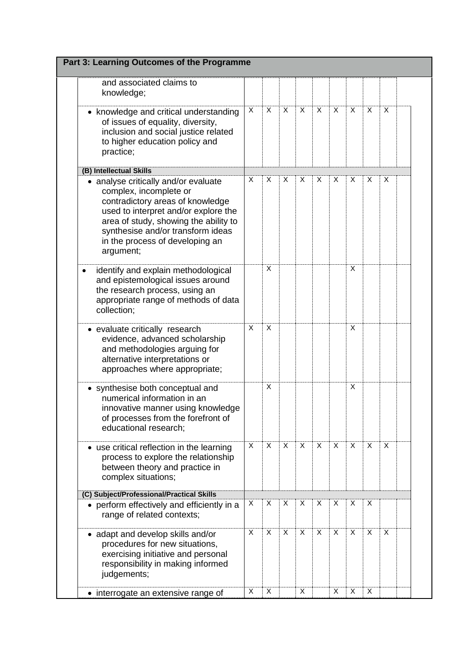| Part 3: Learning Outcomes of the Programme                                                                                                                                                                                                                               |   |   |              |          |   |          |   |   |   |  |
|--------------------------------------------------------------------------------------------------------------------------------------------------------------------------------------------------------------------------------------------------------------------------|---|---|--------------|----------|---|----------|---|---|---|--|
| and associated claims to<br>knowledge;                                                                                                                                                                                                                                   |   |   |              |          |   |          |   |   |   |  |
| • knowledge and critical understanding<br>of issues of equality, diversity,<br>inclusion and social justice related<br>to higher education policy and<br>practice;                                                                                                       | X | X | $\mathsf{X}$ | X        | X | $\sf X$  | X | X | X |  |
| (B) Intellectual Skills                                                                                                                                                                                                                                                  |   |   |              |          |   |          |   |   |   |  |
| • analyse critically and/or evaluate<br>complex, incomplete or<br>contradictory areas of knowledge<br>used to interpret and/or explore the<br>area of study, showing the ability to<br>synthesise and/or transform ideas<br>in the process of developing an<br>argument; | X | X | X            | X        | X | X        | X | X | X |  |
| identify and explain methodological<br>$\bullet$<br>and epistemological issues around<br>the research process, using an<br>appropriate range of methods of data<br>collection;                                                                                           |   | X |              |          |   |          | X |   |   |  |
| • evaluate critically research<br>evidence, advanced scholarship<br>and methodologies arguing for<br>alternative interpretations or<br>approaches where appropriate;                                                                                                     | X | X |              |          |   |          | X |   |   |  |
| • synthesise both conceptual and<br>numerical information in an<br>innovative manner using knowledge<br>of processes from the forefront of<br>educational research;                                                                                                      |   | X |              |          |   |          | X |   |   |  |
| • use critical reflection in the learning<br>process to explore the relationship<br>between theory and practice in<br>complex situations;                                                                                                                                | X | X | X            | $\times$ | X | $\times$ | X | X | X |  |
| (C) Subject/Professional/Practical Skills                                                                                                                                                                                                                                |   |   |              |          |   |          |   |   |   |  |
| • perform effectively and efficiently in a<br>range of related contexts;                                                                                                                                                                                                 | X | X | X            | X        | X | Χ        | X | Χ |   |  |
| • adapt and develop skills and/or<br>procedures for new situations,<br>exercising initiative and personal<br>responsibility in making informed<br>judgements;                                                                                                            | X | X | X            | X        | X | X        | X | X | X |  |
| • interrogate an extensive range of                                                                                                                                                                                                                                      | Χ | X |              | X        |   | X        | X | X |   |  |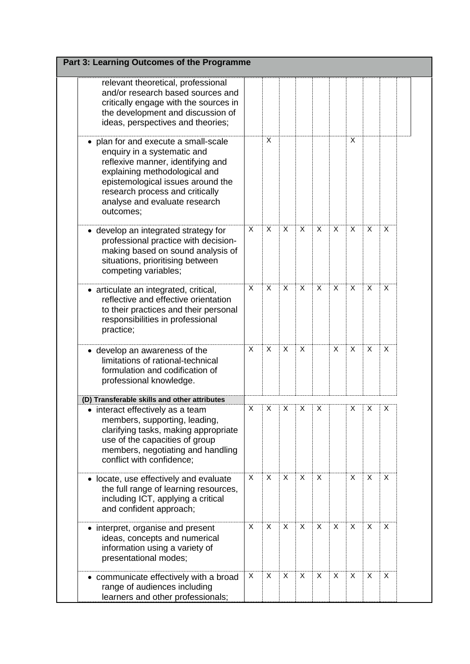| Part 3: Learning Outcomes of the Programme                                                                                                                                                                                                                    |   |   |   |              |   |   |         |   |   |  |
|---------------------------------------------------------------------------------------------------------------------------------------------------------------------------------------------------------------------------------------------------------------|---|---|---|--------------|---|---|---------|---|---|--|
| relevant theoretical, professional<br>and/or research based sources and<br>critically engage with the sources in<br>the development and discussion of<br>ideas, perspectives and theories;                                                                    |   |   |   |              |   |   |         |   |   |  |
| plan for and execute a small-scale<br>enquiry in a systematic and<br>reflexive manner, identifying and<br>explaining methodological and<br>epistemological issues around the<br>research process and critically<br>analyse and evaluate research<br>outcomes; |   | X |   |              |   |   | X       |   |   |  |
| • develop an integrated strategy for<br>professional practice with decision-<br>making based on sound analysis of<br>situations, prioritising between<br>competing variables;                                                                                 | X | X | X | $\mathsf{X}$ | X | X | $\sf X$ | X | X |  |
| • articulate an integrated, critical,<br>reflective and effective orientation<br>to their practices and their personal<br>responsibilities in professional<br>practice;                                                                                       | X | X | X | $\sf X$      | X | X | X       | X | X |  |
| • develop an awareness of the<br>limitations of rational-technical<br>formulation and codification of<br>professional knowledge.                                                                                                                              | X | X | X | $\mathsf{X}$ |   | X | X       | X | X |  |
| (D) Transferable skills and other attributes                                                                                                                                                                                                                  |   |   |   |              |   |   |         |   |   |  |
| interact effectively as a team<br>members, supporting, leading,<br>clarifying tasks, making appropriate<br>use of the capacities of group<br>members, negotiating and handling<br>conflict with confidence;                                                   | X | Χ | Χ | Χ            | Χ |   | X       | Χ | Χ |  |
| • locate, use effectively and evaluate<br>the full range of learning resources,<br>including ICT, applying a critical<br>and confident approach;                                                                                                              | X | X | X | X            | X |   | X       | X | X |  |
| • interpret, organise and present<br>ideas, concepts and numerical<br>information using a variety of<br>presentational modes;                                                                                                                                 | X | X | X | X            | X | X | X       | X | X |  |
| communicate effectively with a broad<br>range of audiences including<br>learners and other professionals;                                                                                                                                                     | X | X | X | X            | X | X | X       | X | X |  |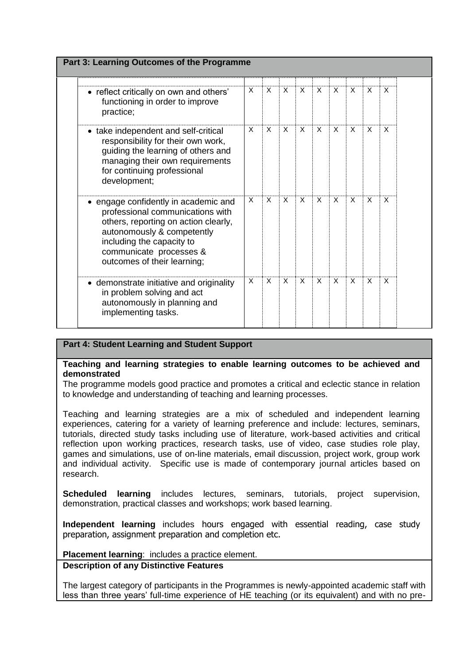| Part 3: Learning Outcomes of the Programme                                                                                                                                                                                            |                           |              |              |              |              |              |                           |                           |                           |  |
|---------------------------------------------------------------------------------------------------------------------------------------------------------------------------------------------------------------------------------------|---------------------------|--------------|--------------|--------------|--------------|--------------|---------------------------|---------------------------|---------------------------|--|
| • reflect critically on own and others'<br>functioning in order to improve<br>practice;                                                                                                                                               | X                         | X            | $\mathsf{x}$ | $\times$     | $\mathsf{x}$ | $\mathsf{x}$ | $\boldsymbol{\mathsf{x}}$ | $\boldsymbol{\mathsf{x}}$ | $\boldsymbol{\mathsf{x}}$ |  |
| • take independent and self-critical<br>responsibility for their own work,<br>guiding the learning of others and<br>managing their own requirements<br>for continuing professional<br>development;                                    | $\times$                  | X            | X            | $\times$     | $\times$     | $\times$     | $\times$                  | X                         | $\times$                  |  |
| • engage confidently in academic and<br>professional communications with<br>others, reporting on action clearly,<br>autonomously & competently<br>including the capacity to<br>communicate processes &<br>outcomes of their learning; | $\boldsymbol{\mathsf{x}}$ | $\mathsf{x}$ | $\times$     | $\mathsf{x}$ | $\mathsf{x}$ | $\mathsf{x}$ | $\mathsf{x}$              | $\mathsf{x}$              | $\boldsymbol{\mathsf{x}}$ |  |
| • demonstrate initiative and originality<br>in problem solving and act<br>autonomously in planning and<br>implementing tasks.                                                                                                         | X                         | X            | $\times$     | $\mathsf{x}$ | X            | $\times$     | $\mathsf{x}$              | $\times$                  | $\boldsymbol{\mathsf{X}}$ |  |

## **Part 4: Student Learning and Student Support**

## **Teaching and learning strategies to enable learning outcomes to be achieved and demonstrated**

The programme models good practice and promotes a critical and eclectic stance in relation to knowledge and understanding of teaching and learning processes.

Teaching and learning strategies are a mix of scheduled and independent learning experiences, catering for a variety of learning preference and include: lectures, seminars, tutorials, directed study tasks including use of literature, work-based activities and critical reflection upon working practices, research tasks, use of video, case studies role play, games and simulations, use of on-line materials, email discussion, project work, group work and individual activity. Specific use is made of contemporary journal articles based on research.

**Scheduled learning** includes lectures, seminars, tutorials, project supervision, demonstration, practical classes and workshops; work based learning.

**Independent learning** includes hours engaged with essential reading, case study preparation, assignment preparation and completion etc.

**Placement learning**: includes a practice element.

## **Description of any Distinctive Features**

The largest category of participants in the Programmes is newly-appointed academic staff with less than three years' full-time experience of HE teaching (or its equivalent) and with no pre-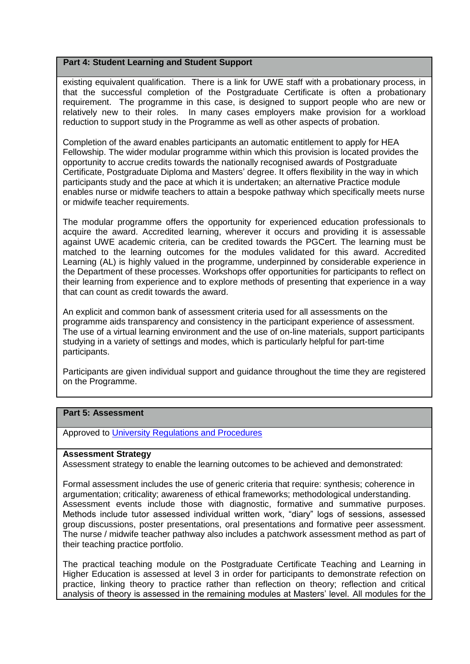### **Part 4: Student Learning and Student Support**

existing equivalent qualification. There is a link for UWE staff with a probationary process, in that the successful completion of the Postgraduate Certificate is often a probationary requirement. The programme in this case, is designed to support people who are new or relatively new to their roles. In many cases employers make provision for a workload reduction to support study in the Programme as well as other aspects of probation.

Completion of the award enables participants an automatic entitlement to apply for HEA Fellowship. The wider modular programme within which this provision is located provides the opportunity to accrue credits towards the nationally recognised awards of Postgraduate Certificate, Postgraduate Diploma and Masters' degree. It offers flexibility in the way in which participants study and the pace at which it is undertaken; an alternative Practice module enables nurse or midwife teachers to attain a bespoke pathway which specifically meets nurse or midwife teacher requirements.

The modular programme offers the opportunity for experienced education professionals to acquire the award. Accredited learning, wherever it occurs and providing it is assessable against UWE academic criteria, can be credited towards the PGCert. The learning must be matched to the learning outcomes for the modules validated for this award. Accredited Learning (AL) is highly valued in the programme, underpinned by considerable experience in the Department of these processes. Workshops offer opportunities for participants to reflect on their learning from experience and to explore methods of presenting that experience in a way that can count as credit towards the award.

An explicit and common bank of assessment criteria used for all assessments on the programme aids transparency and consistency in the participant experience of assessment. The use of a virtual learning environment and the use of on-line materials, support participants studying in a variety of settings and modes, which is particularly helpful for part-time participants.

Participants are given individual support and guidance throughout the time they are registered on the Programme.

## **Part 5: Assessment**

Approved to [University Regulations and Procedures](http://www1.uwe.ac.uk/students/academicadvice/assessments/regulationsandprocedures.aspx)

#### **Assessment Strategy**

Assessment strategy to enable the learning outcomes to be achieved and demonstrated:

Formal assessment includes the use of generic criteria that require: synthesis; coherence in argumentation; criticality; awareness of ethical frameworks; methodological understanding. Assessment events include those with diagnostic, formative and summative purposes. Methods include tutor assessed individual written work, "diary" logs of sessions, assessed group discussions, poster presentations, oral presentations and formative peer assessment. The nurse / midwife teacher pathway also includes a patchwork assessment method as part of their teaching practice portfolio.

The practical teaching module on the Postgraduate Certificate Teaching and Learning in Higher Education is assessed at level 3 in order for participants to demonstrate refection on practice, linking theory to practice rather than reflection on theory; reflection and critical analysis of theory is assessed in the remaining modules at Masters' level. All modules for the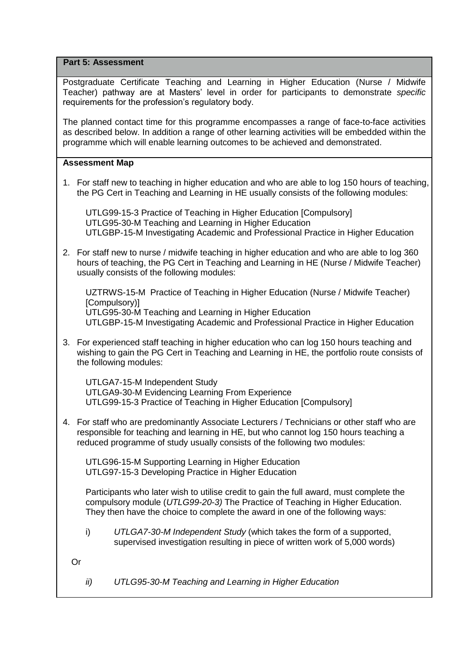**Part 5: Assessment**

Postgraduate Certificate Teaching and Learning in Higher Education (Nurse / Midwife Teacher) pathway are at Masters' level in order for participants to demonstrate *specific* requirements for the profession's regulatory body.

The planned contact time for this programme encompasses a range of face-to-face activities as described below. In addition a range of other learning activities will be embedded within the programme which will enable learning outcomes to be achieved and demonstrated.

## **Assessment Map**

1. For staff new to teaching in higher education and who are able to log 150 hours of teaching, the PG Cert in Teaching and Learning in HE usually consists of the following modules:

UTLG99-15-3 Practice of Teaching in Higher Education [Compulsory] UTLG95-30-M Teaching and Learning in Higher Education UTLGBP-15-M Investigating Academic and Professional Practice in Higher Education

2. For staff new to nurse / midwife teaching in higher education and who are able to log 360 hours of teaching, the PG Cert in Teaching and Learning in HE (Nurse / Midwife Teacher) usually consists of the following modules:

UZTRWS-15-M Practice of Teaching in Higher Education (Nurse / Midwife Teacher) [Compulsory)] UTLG95-30-M Teaching and Learning in Higher Education UTLGBP-15-M Investigating Academic and Professional Practice in Higher Education

3. For experienced staff teaching in higher education who can log 150 hours teaching and wishing to gain the PG Cert in Teaching and Learning in HE, the portfolio route consists of the following modules:

UTLGA7-15-M Independent Study UTLGA9-30-M Evidencing Learning From Experience UTLG99-15-3 Practice of Teaching in Higher Education [Compulsory]

4. For staff who are predominantly Associate Lecturers / Technicians or other staff who are responsible for teaching and learning in HE, but who cannot log 150 hours teaching a reduced programme of study usually consists of the following two modules:

UTLG96-15-M Supporting Learning in Higher Education UTLG97-15-3 Developing Practice in Higher Education

Participants who later wish to utilise credit to gain the full award, must complete the compulsory module (*UTLG99-20-3)* The Practice of Teaching in Higher Education. They then have the choice to complete the award in one of the following ways:

i) *UTLGA7-30-M Independent Study* (which takes the form of a supported, supervised investigation resulting in piece of written work of 5,000 words)

Or

*ii) UTLG95-30-M Teaching and Learning in Higher Education*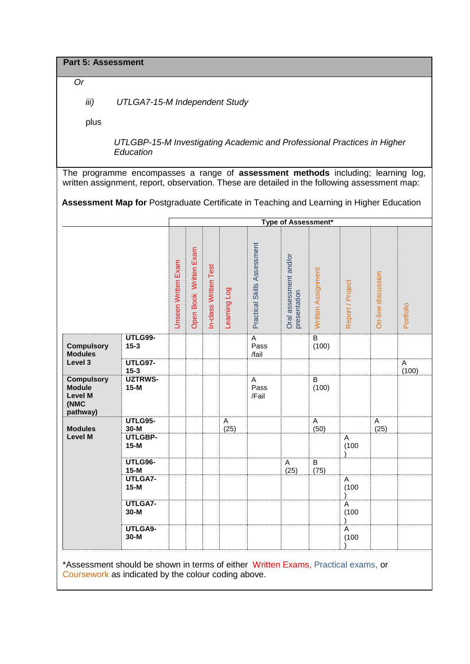**Part 5: Assessment**

*Or* 

*iii) UTLGA7-15-M Independent Study*

plus

*UTLGBP-15-M Investigating Academic and Professional Practices in Higher Education*

The programme encompasses a range of **assessment methods** including; learning log, written assignment, report, observation. These are detailed in the following assessment map:

**Assessment Map for** Postgraduate Certificate in Teaching and Learning in Higher Education

|                                                                          |                            |                     | Type of Assessment*    |                       |              |                                 |                                        |                         |                      |                      |            |
|--------------------------------------------------------------------------|----------------------------|---------------------|------------------------|-----------------------|--------------|---------------------------------|----------------------------------------|-------------------------|----------------------|----------------------|------------|
|                                                                          |                            | Unseen Written Exam | Open Book Written Exam | In-class Written Test | Learning Log | Practical Skills Assessment     | Oral assessment and/or<br>presentation | Written Assignment      | Report / Project     | On-line discussion   | Portfolio  |
| <b>Compulsory</b><br><b>Modules</b>                                      | <b>UTLG99-</b><br>$15 - 3$ |                     |                        |                       |              | A<br>Pass<br>/fail              |                                        | $\overline{B}$<br>(100) |                      |                      |            |
| Level 3                                                                  | <b>UTLG97-</b><br>$15 - 3$ |                     |                        |                       |              |                                 |                                        |                         |                      |                      | Α<br>(100) |
| <b>Compulsory</b><br><b>Module</b><br><b>Level M</b><br>(NMC<br>pathway) | <b>UZTRWS-</b><br>$15-M$   |                     |                        |                       |              | $\overline{A}$<br>Pass<br>/Fail |                                        | B<br>(100)              |                      |                      |            |
| <b>Modules</b>                                                           | <b>UTLG95-</b><br>$30-M$   |                     |                        |                       | A<br>(25)    |                                 |                                        | A<br>(50)               |                      | $\mathsf{A}$<br>(25) |            |
| <b>Level M</b>                                                           | UTLGBP-<br>$15-M$          |                     |                        |                       |              |                                 |                                        |                         | A<br>(100)           |                      |            |
|                                                                          | UTLG96-<br>$15-M$          |                     |                        |                       |              |                                 | A<br>(25)                              | $\, {\bf B}$<br>(75)    |                      |                      |            |
|                                                                          | UTLGA7-<br>$15-M$          |                     |                        |                       |              |                                 |                                        |                         | A<br>(100)           |                      |            |
|                                                                          | UTLGA7-<br>$30-M$          |                     |                        |                       |              |                                 |                                        |                         | A<br>(100)           |                      |            |
|                                                                          | UTLGA9-<br>$30-M$          |                     |                        |                       |              |                                 |                                        |                         | $\mathsf A$<br>(100) |                      |            |

\*Assessment should be shown in terms of either Written Exams, Practical exams, or Coursework as indicated by the colour coding above.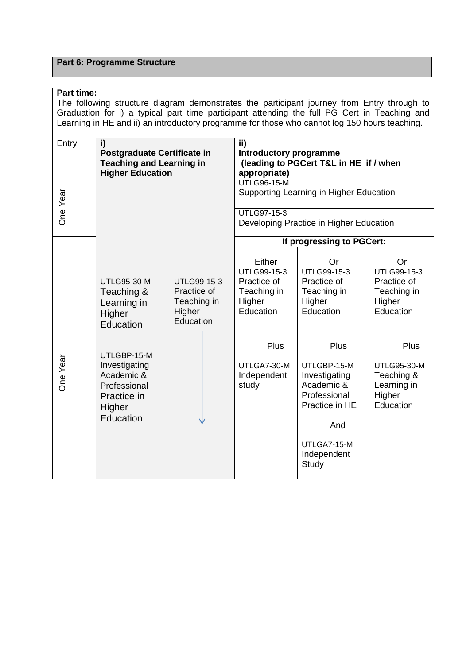# **Part 6: Programme Structure**

## **Part time:**

The following structure diagram demonstrates the participant journey from Entry through to Graduation for i) a typical part time participant attending the full PG Cert in Teaching and Learning in HE and ii) an introductory programme for those who cannot log 150 hours teaching.

| Entry    | i)<br>Postgraduate Certificate in<br><b>Teaching and Learning in</b><br><b>Higher Education</b>  |                                                                  | ii)<br>Introductory programme<br>(leading to PGCert T&L in HE if / when<br>appropriate) |                                                                                                                                           |                                                                                |  |  |  |  |  |
|----------|--------------------------------------------------------------------------------------------------|------------------------------------------------------------------|-----------------------------------------------------------------------------------------|-------------------------------------------------------------------------------------------------------------------------------------------|--------------------------------------------------------------------------------|--|--|--|--|--|
| One Year |                                                                                                  |                                                                  | <b>UTLG96-15-M</b><br>Supporting Learning in Higher Education                           |                                                                                                                                           |                                                                                |  |  |  |  |  |
|          |                                                                                                  |                                                                  | <b>UTLG97-15-3</b><br>Developing Practice in Higher Education                           |                                                                                                                                           |                                                                                |  |  |  |  |  |
|          |                                                                                                  |                                                                  |                                                                                         | If progressing to PGCert:                                                                                                                 |                                                                                |  |  |  |  |  |
|          |                                                                                                  |                                                                  | Either                                                                                  | Or                                                                                                                                        | Or                                                                             |  |  |  |  |  |
|          | <b>UTLG95-30-M</b><br>Teaching &<br>Learning in<br>Higher<br>Education                           | UTLG99-15-3<br>Practice of<br>Teaching in<br>Higher<br>Education | UTLG99-15-3<br>Practice of<br>Teaching in<br>Higher<br>Education                        | UTLG99-15-3<br>Practice of<br>Teaching in<br>Higher<br>Education                                                                          | UTLG99-15-3<br>Practice of<br>Teaching in<br>Higher<br>Education               |  |  |  |  |  |
| One Year | UTLGBP-15-M<br>Investigating<br>Academic &<br>Professional<br>Practice in<br>Higher<br>Education |                                                                  | Plus<br>UTLGA7-30-M<br>Independent<br>study                                             | <b>Plus</b><br>UTLGBP-15-M<br>Investigating<br>Academic &<br>Professional<br>Practice in HE<br>And<br>UTLGA7-15-M<br>Independent<br>Study | Plus<br><b>UTLG95-30-M</b><br>Teaching &<br>Learning in<br>Higher<br>Education |  |  |  |  |  |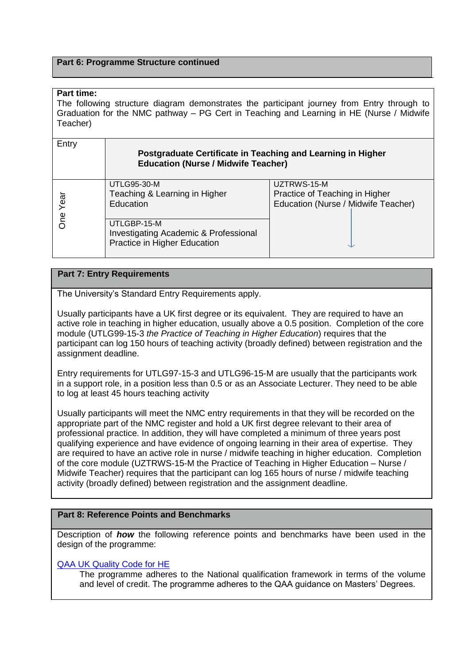#### **Part 6: Programme Structure continued**

### **Part time:**

The following structure diagram demonstrates the participant journey from Entry through to Graduation for the NMC pathway – PG Cert in Teaching and Learning in HE (Nurse / Midwife Teacher)

| Entry      | Postgraduate Certificate in Teaching and Learning in Higher<br><b>Education (Nurse / Midwife Teacher)</b> |                                                                                      |
|------------|-----------------------------------------------------------------------------------------------------------|--------------------------------------------------------------------------------------|
| Year<br>δη | <b>UTLG95-30-M</b><br>Teaching & Learning in Higher<br>Education                                          | UZTRWS-15-M<br>Practice of Teaching in Higher<br>Education (Nurse / Midwife Teacher) |
|            | UTLGBP-15-M<br><b>Investigating Academic &amp; Professional</b><br>Practice in Higher Education           |                                                                                      |

## **Part 7: Entry Requirements**

The University's Standard Entry Requirements apply.

Usually participants have a UK first degree or its equivalent. They are required to have an active role in teaching in higher education, usually above a 0.5 position. Completion of the core module (UTLG99-15-3 *the Practice of Teaching in Higher Education*) requires that the participant can log 150 hours of teaching activity (broadly defined) between registration and the assignment deadline.

Entry requirements for UTLG97-15-3 and UTLG96-15-M are usually that the participants work in a support role, in a position less than 0.5 or as an Associate Lecturer. They need to be able to log at least 45 hours teaching activity

Usually participants will meet the NMC entry requirements in that they will be recorded on the appropriate part of the NMC register and hold a UK first degree relevant to their area of professional practice. In addition, they will have completed a minimum of three years post qualifying experience and have evidence of ongoing learning in their area of expertise. They are required to have an active role in nurse / midwife teaching in higher education. Completion of the core module (UZTRWS-15-M the Practice of Teaching in Higher Education – Nurse / Midwife Teacher) requires that the participant can log 165 hours of nurse / midwife teaching activity (broadly defined) between registration and the assignment deadline.

## **Part 8: Reference Points and Benchmarks**

Description of *how* the following reference points and benchmarks have been used in the design of the programme:

## [QAA UK Quality Code for HE](http://www.qaa.ac.uk/assuringstandardsandquality/quality-code/Pages/default.aspx)

The programme adheres to the National qualification framework in terms of the volume and level of credit. The programme adheres to the QAA guidance on Masters' Degrees.